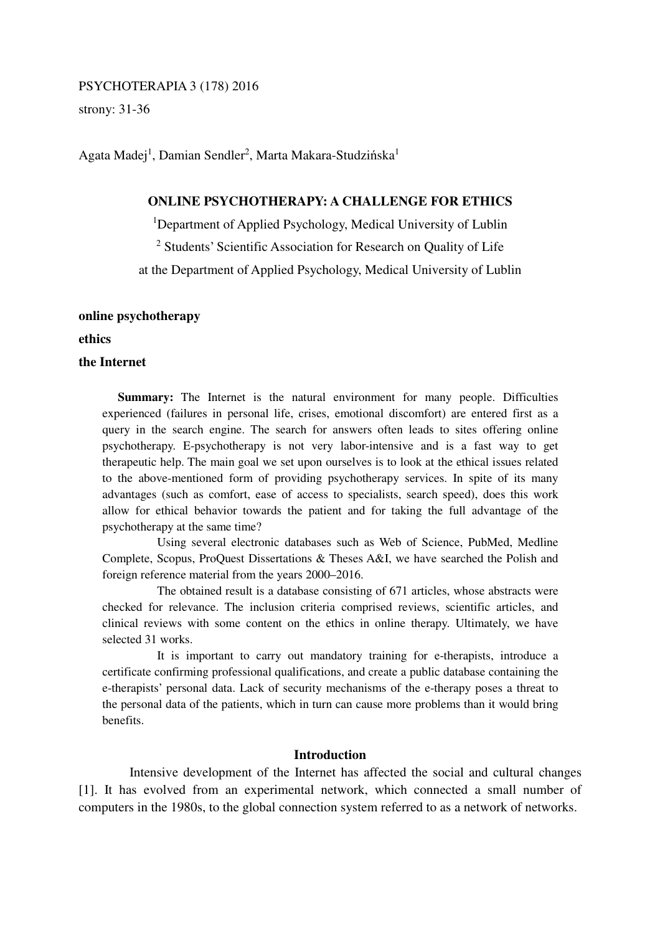## PSYCHOTERAPIA 3 (178) 2016

strony: 31-36

Agata Madej<sup>1</sup>, Damian Sendler<sup>2</sup>, Marta Makara-Studzińska<sup>1</sup>

# **ONLINE PSYCHOTHERAPY: A CHALLENGE FOR ETHICS**

<sup>1</sup>Department of Applied Psychology, Medical University of Lublin

<sup>2</sup> Students' Scientific Association for Research on Quality of Life

at the Department of Applied Psychology, Medical University of Lublin

# **online psychotherapy**

**ethics** 

# **the Internet**

**Summary:** The Internet is the natural environment for many people. Difficulties experienced (failures in personal life, crises, emotional discomfort) are entered first as a query in the search engine. The search for answers often leads to sites offering online psychotherapy. E-psychotherapy is not very labor-intensive and is a fast way to get therapeutic help. The main goal we set upon ourselves is to look at the ethical issues related to the above-mentioned form of providing psychotherapy services. In spite of its many advantages (such as comfort, ease of access to specialists, search speed), does this work allow for ethical behavior towards the patient and for taking the full advantage of the psychotherapy at the same time?

 Using several electronic databases such as Web of Science, PubMed, Medline Complete, Scopus, ProQuest Dissertations & Theses A&I, we have searched the Polish and foreign reference material from the years 2000–2016.

 The obtained result is a database consisting of 671 articles, whose abstracts were checked for relevance. The inclusion criteria comprised reviews, scientific articles, and clinical reviews with some content on the ethics in online therapy. Ultimately, we have selected 31 works.

 It is important to carry out mandatory training for e-therapists, introduce a certificate confirming professional qualifications, and create a public database containing the e-therapists' personal data. Lack of security mechanisms of the e-therapy poses a threat to the personal data of the patients, which in turn can cause more problems than it would bring benefits.

### **Introduction**

 Intensive development of the Internet has affected the social and cultural changes [1]. It has evolved from an experimental network, which connected a small number of computers in the 1980s, to the global connection system referred to as a network of networks.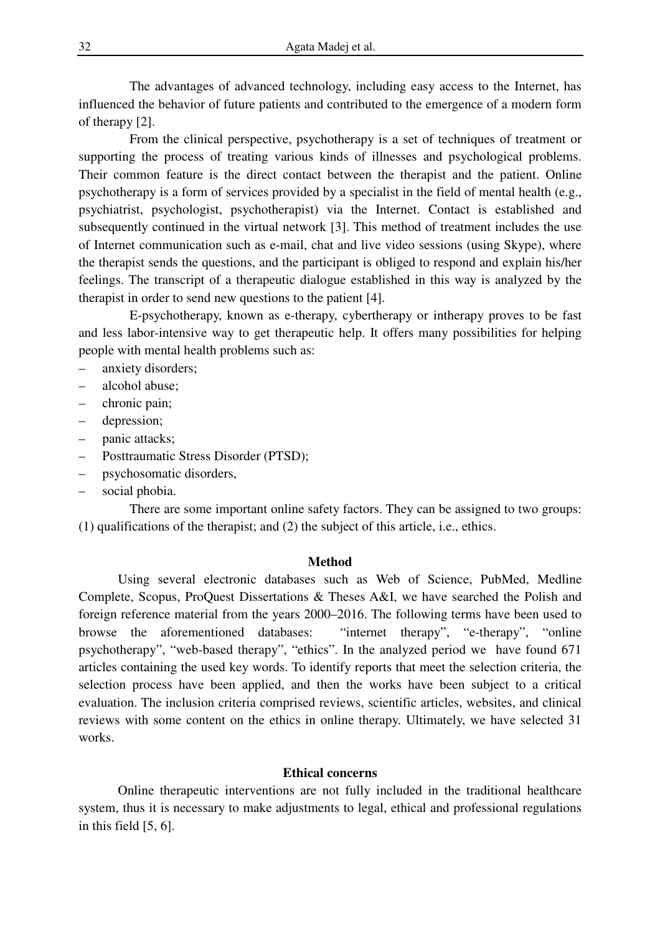The advantages of advanced technology, including easy access to the Internet, has influenced the behavior of future patients and contributed to the emergence of a modern form of therapy [2].

 From the clinical perspective, psychotherapy is a set of techniques of treatment or supporting the process of treating various kinds of illnesses and psychological problems. Their common feature is the direct contact between the therapist and the patient. Online psychotherapy is a form of services provided by a specialist in the field of mental health (e.g., psychiatrist, psychologist, psychotherapist) via the Internet. Contact is established and subsequently continued in the virtual network [3]. This method of treatment includes the use of Internet communication such as e-mail, chat and live video sessions (using Skype), where the therapist sends the questions, and the participant is obliged to respond and explain his/her feelings. The transcript of a therapeutic dialogue established in this way is analyzed by the therapist in order to send new questions to the patient [4].

 E-psychotherapy, known as e-therapy, cybertherapy or intherapy proves to be fast and less labor-intensive way to get therapeutic help. It offers many possibilities for helping people with mental health problems such as:

- anxiety disorders;
- alcohol abuse;
- chronic pain;
- depression;
- panic attacks;
- Posttraumatic Stress Disorder (PTSD);
- psychosomatic disorders,
- social phobia.

 There are some important online safety factors. They can be assigned to two groups: (1) qualifications of the therapist; and (2) the subject of this article, i.e., ethics.

#### **Method**

 Using several electronic databases such as Web of Science, PubMed, Medline Complete, Scopus, ProQuest Dissertations & Theses A&I, we have searched the Polish and foreign reference material from the years 2000–2016. The following terms have been used to browse the aforementioned databases: "internet therapy", "e-therapy", "online psychotherapy", "web-based therapy", "ethics". In the analyzed period we have found 671 articles containing the used key words. To identify reports that meet the selection criteria, the selection process have been applied, and then the works have been subject to a critical evaluation. The inclusion criteria comprised reviews, scientific articles, websites, and clinical reviews with some content on the ethics in online therapy. Ultimately, we have selected 31 works.

# **Ethical concerns**

 Online therapeutic interventions are not fully included in the traditional healthcare system, thus it is necessary to make adjustments to legal, ethical and professional regulations in this field [5, 6].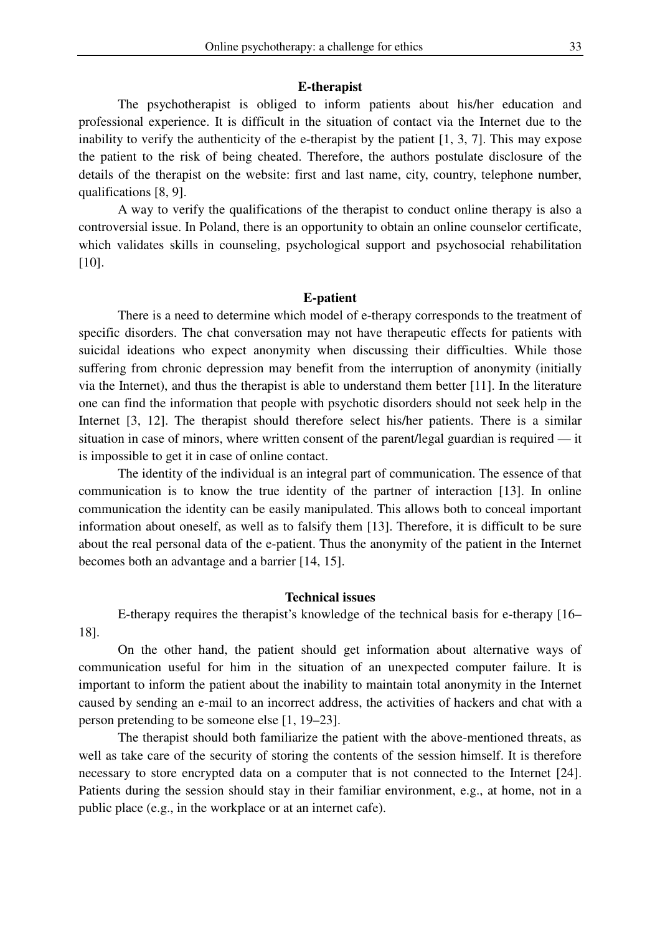### **E-therapist**

 The psychotherapist is obliged to inform patients about his/her education and professional experience. It is difficult in the situation of contact via the Internet due to the inability to verify the authenticity of the e-therapist by the patient [1, 3, 7]. This may expose the patient to the risk of being cheated. Therefore, the authors postulate disclosure of the details of the therapist on the website: first and last name, city, country, telephone number, qualifications [8, 9].

 A way to verify the qualifications of the therapist to conduct online therapy is also a controversial issue. In Poland, there is an opportunity to obtain an online counselor certificate, which validates skills in counseling, psychological support and psychosocial rehabilitation [10].

#### **E-patient**

 There is a need to determine which model of e-therapy corresponds to the treatment of specific disorders. The chat conversation may not have therapeutic effects for patients with suicidal ideations who expect anonymity when discussing their difficulties. While those suffering from chronic depression may benefit from the interruption of anonymity (initially via the Internet), and thus the therapist is able to understand them better [11]. In the literature one can find the information that people with psychotic disorders should not seek help in the Internet [3, 12]. The therapist should therefore select his/her patients. There is a similar situation in case of minors, where written consent of the parent/legal guardian is required — it is impossible to get it in case of online contact.

 The identity of the individual is an integral part of communication. The essence of that communication is to know the true identity of the partner of interaction [13]. In online communication the identity can be easily manipulated. This allows both to conceal important information about oneself, as well as to falsify them [13]. Therefore, it is difficult to be sure about the real personal data of the e-patient. Thus the anonymity of the patient in the Internet becomes both an advantage and a barrier [14, 15].

#### **Technical issues**

 E-therapy requires the therapist's knowledge of the technical basis for e-therapy [16– 18].

 On the other hand, the patient should get information about alternative ways of communication useful for him in the situation of an unexpected computer failure. It is important to inform the patient about the inability to maintain total anonymity in the Internet caused by sending an e-mail to an incorrect address, the activities of hackers and chat with a person pretending to be someone else [1, 19–23].

 The therapist should both familiarize the patient with the above-mentioned threats, as well as take care of the security of storing the contents of the session himself. It is therefore necessary to store encrypted data on a computer that is not connected to the Internet [24]. Patients during the session should stay in their familiar environment, e.g., at home, not in a public place (e.g., in the workplace or at an internet cafe).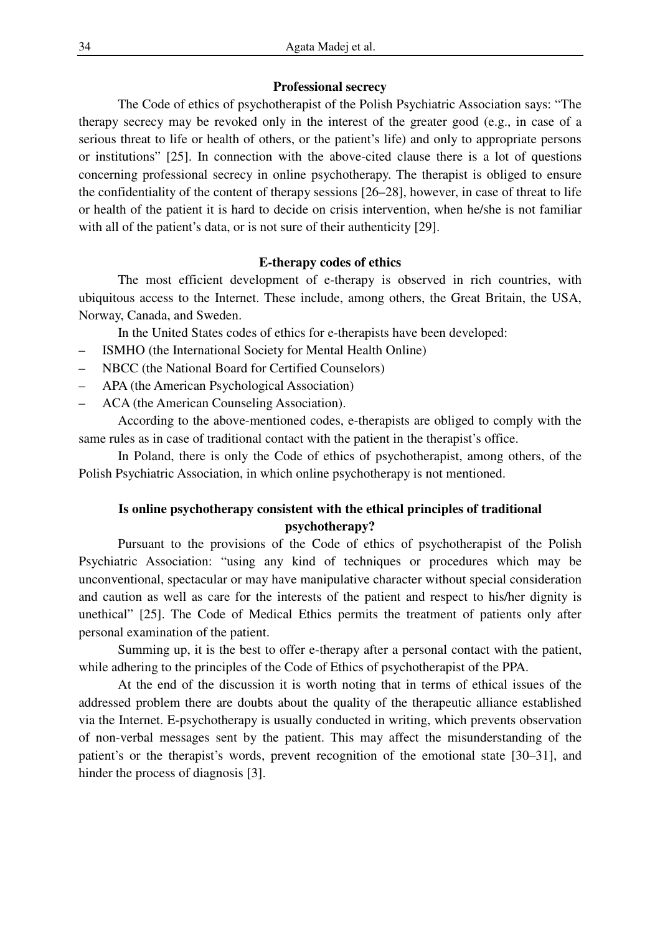## **Professional secrecy**

 The Code of ethics of psychotherapist of the Polish Psychiatric Association says: "The therapy secrecy may be revoked only in the interest of the greater good (e.g., in case of a serious threat to life or health of others, or the patient's life) and only to appropriate persons or institutions" [25]. In connection with the above-cited clause there is a lot of questions concerning professional secrecy in online psychotherapy. The therapist is obliged to ensure the confidentiality of the content of therapy sessions [26–28], however, in case of threat to life or health of the patient it is hard to decide on crisis intervention, when he/she is not familiar with all of the patient's data, or is not sure of their authenticity [29].

## **E-therapy codes of ethics**

 The most efficient development of e-therapy is observed in rich countries, with ubiquitous access to the Internet. These include, among others, the Great Britain, the USA, Norway, Canada, and Sweden.

In the United States codes of ethics for e-therapists have been developed:

- ISMHO (the International Society for Mental Health Online)
- NBCC (the National Board for Certified Counselors)
- APA (the American Psychological Association)
- ACA (the American Counseling Association).

 According to the above-mentioned codes, e-therapists are obliged to comply with the same rules as in case of traditional contact with the patient in the therapist's office.

 In Poland, there is only the Code of ethics of psychotherapist, among others, of the Polish Psychiatric Association, in which online psychotherapy is not mentioned.

# **Is online psychotherapy consistent with the ethical principles of traditional psychotherapy?**

 Pursuant to the provisions of the Code of ethics of psychotherapist of the Polish Psychiatric Association: "using any kind of techniques or procedures which may be unconventional, spectacular or may have manipulative character without special consideration and caution as well as care for the interests of the patient and respect to his/her dignity is unethical" [25]. The Code of Medical Ethics permits the treatment of patients only after personal examination of the patient.

 Summing up, it is the best to offer e-therapy after a personal contact with the patient, while adhering to the principles of the Code of Ethics of psychotherapist of the PPA.

 At the end of the discussion it is worth noting that in terms of ethical issues of the addressed problem there are doubts about the quality of the therapeutic alliance established via the Internet. E-psychotherapy is usually conducted in writing, which prevents observation of non-verbal messages sent by the patient. This may affect the misunderstanding of the patient's or the therapist's words, prevent recognition of the emotional state [30–31], and hinder the process of diagnosis [3].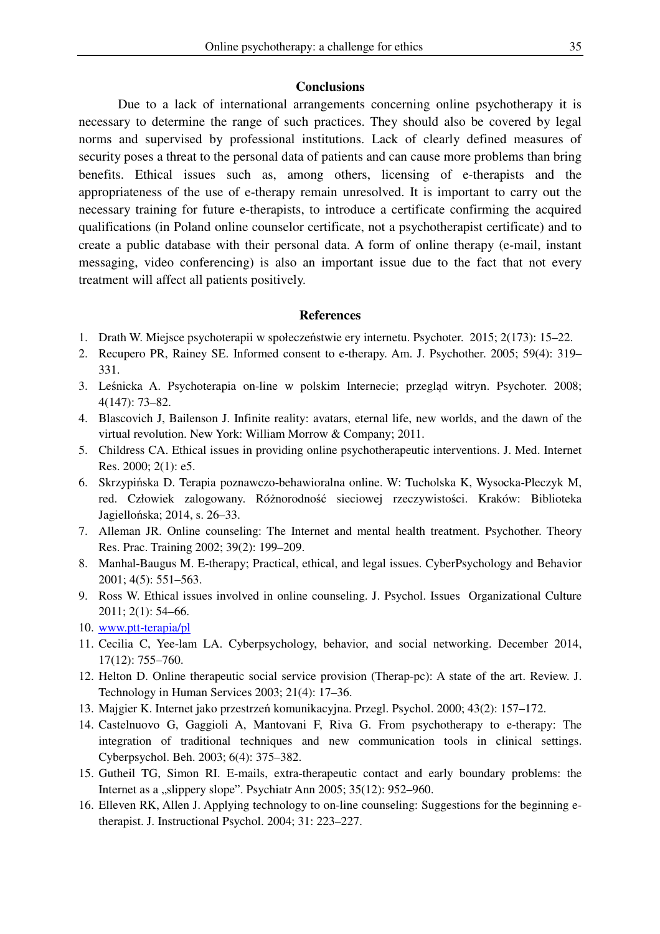# **Conclusions**

 Due to a lack of international arrangements concerning online psychotherapy it is necessary to determine the range of such practices. They should also be covered by legal norms and supervised by professional institutions. Lack of clearly defined measures of security poses a threat to the personal data of patients and can cause more problems than bring benefits. Ethical issues such as, among others, licensing of e-therapists and the appropriateness of the use of e-therapy remain unresolved. It is important to carry out the necessary training for future e-therapists, to introduce a certificate confirming the acquired qualifications (in Poland online counselor certificate, not a psychotherapist certificate) and to create a public database with their personal data. A form of online therapy (e-mail, instant messaging, video conferencing) is also an important issue due to the fact that not every treatment will affect all patients positively.

### **References**

- 1. Drath W. Miejsce psychoterapii w społeczeństwie ery internetu. Psychoter. 2015; 2(173): 15–22.
- 2. Recupero PR, Rainey SE. Informed consent to e-therapy. Am. J. Psychother. 2005; 59(4): 319– 331.
- 3. Leśnicka A. Psychoterapia on-line w polskim Internecie; przegląd witryn. Psychoter. 2008; 4(147): 73–82.
- 4. Blascovich J, Bailenson J. Infinite reality: avatars, eternal life, new worlds, and the dawn of the virtual revolution. New York: William Morrow & Company; 2011.
- 5. Childress CA. Ethical issues in providing online psychotherapeutic interventions. J. Med. Internet Res. 2000; 2(1): e5.
- 6. Skrzypińska D. Terapia poznawczo-behawioralna online. W: Tucholska K, Wysocka-Pleczyk M, red. Człowiek zalogowany. Różnorodność sieciowej rzeczywistości. Kraków: Biblioteka Jagiellońska; 2014, s. 26–33.
- 7. Alleman JR. Online counseling: The Internet and mental health treatment. Psychother. Theory Res. Prac. Training 2002; 39(2): 199–209.
- 8. Manhal-Baugus M. E-therapy; Practical, ethical, and legal issues. CyberPsychology and Behavior 2001; 4(5): 551–563.
- 9. Ross W. Ethical issues involved in online counseling. J. Psychol. Issues Organizational Culture 2011; 2(1): 54–66.
- 10. www.ptt-terapia/pl
- 11. Cecilia C, Yee-lam LA. Cyberpsychology, behavior, and social networking. December 2014, 17(12): 755–760.
- 12. Helton D. Online therapeutic social service provision (Therap-pc): A state of the art. Review. J. Technology in Human Services 2003; 21(4): 17–36.
- 13. Majgier K. Internet jako przestrzeń komunikacyjna. Przegl. Psychol. 2000; 43(2): 157–172.
- 14. Castelnuovo G, Gaggioli A, Mantovani F, Riva G. From psychotherapy to e-therapy: The integration of traditional techniques and new communication tools in clinical settings. Cyberpsychol. Beh. 2003; 6(4): 375–382.
- 15. Gutheil TG, Simon RI. E-mails, extra-therapeutic contact and early boundary problems: the Internet as a "slippery slope". Psychiatr Ann 2005;  $35(12)$ :  $952-960$ .
- 16. Elleven RK, Allen J. Applying technology to on-line counseling: Suggestions for the beginning etherapist. J. Instructional Psychol. 2004; 31: 223–227.